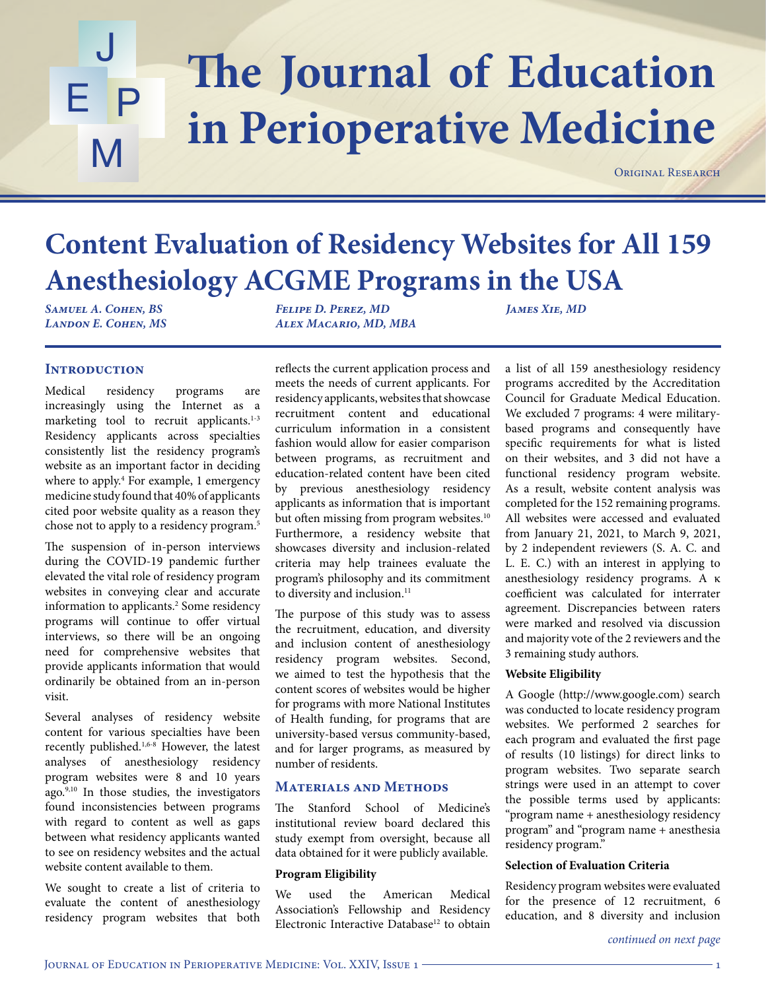## The Journal of Education J E P M **in Perioperative Medicine**

ORIGINAL RESEARCH

# **Content Evaluation of Residency Websites for All 159 Anesthesiology ACGME Programs in the USA**

*Samuel A. Cohen, BS Landon E. Cohen, MS* *Felipe D. Perez, MD Alex Macario, MD, MBA*

*James Xie, MD*

## **Introduction**

Medical residency programs are increasingly using the Internet as a marketing tool to recruit applicants. $1-3$ Residency applicants across specialties consistently list the residency program's website as an important factor in deciding where to apply.4 For example, 1 emergency medicine study found that 40% of applicants cited poor website quality as a reason they chose not to apply to a residency program.5

The suspension of in-person interviews during the COVID-19 pandemic further elevated the vital role of residency program websites in conveying clear and accurate information to applicants.<sup>2</sup> Some residency programs will continue to offer virtual interviews, so there will be an ongoing need for comprehensive websites that provide applicants information that would ordinarily be obtained from an in-person visit.

Several analyses of residency website content for various specialties have been recently published.1,6-8 However, the latest analyses of anesthesiology residency program websites were 8 and 10 years ago. $9,10$  In those studies, the investigators found inconsistencies between programs with regard to content as well as gaps between what residency applicants wanted to see on residency websites and the actual website content available to them.

We sought to create a list of criteria to evaluate the content of anesthesiology residency program websites that both

reflects the current application process and meets the needs of current applicants. For residency applicants, websites that showcase recruitment content and educational curriculum information in a consistent fashion would allow for easier comparison between programs, as recruitment and education-related content have been cited by previous anesthesiology residency applicants as information that is important but often missing from program websites.<sup>10</sup> Furthermore, a residency website that showcases diversity and inclusion-related criteria may help trainees evaluate the program's philosophy and its commitment to diversity and inclusion.<sup>11</sup>

The purpose of this study was to assess the recruitment, education, and diversity and inclusion content of anesthesiology residency program websites. Second, we aimed to test the hypothesis that the content scores of websites would be higher for programs with more National Institutes of Health funding, for programs that are university-based versus community-based, and for larger programs, as measured by number of residents.

## **Materials and Methods**

The Stanford School of Medicine's institutional review board declared this study exempt from oversight, because all data obtained for it were publicly available.

## **Program Eligibility**

We used the American Medical Association's Fellowship and Residency Electronic Interactive Database<sup>12</sup> to obtain a list of all 159 anesthesiology residency programs accredited by the Accreditation Council for Graduate Medical Education. We excluded 7 programs: 4 were militarybased programs and consequently have specific requirements for what is listed on their websites, and 3 did not have a functional residency program website. As a result, website content analysis was completed for the 152 remaining programs. All websites were accessed and evaluated from January 21, 2021, to March 9, 2021, by 2 independent reviewers (S. A. C. and L. E. C.) with an interest in applying to anesthesiology residency programs. A κ coefficient was calculated for interrater agreement. Discrepancies between raters were marked and resolved via discussion and majority vote of the 2 reviewers and the 3 remaining study authors.

## **Website Eligibility**

A Google (http://www.google.com) search was conducted to locate residency program websites. We performed 2 searches for each program and evaluated the first page of results (10 listings) for direct links to program websites. Two separate search strings were used in an attempt to cover the possible terms used by applicants: "program name + anesthesiology residency program" and "program name + anesthesia residency program."

## **Selection of Evaluation Criteria**

Residency program websites were evaluated for the presence of 12 recruitment, 6 education, and 8 diversity and inclusion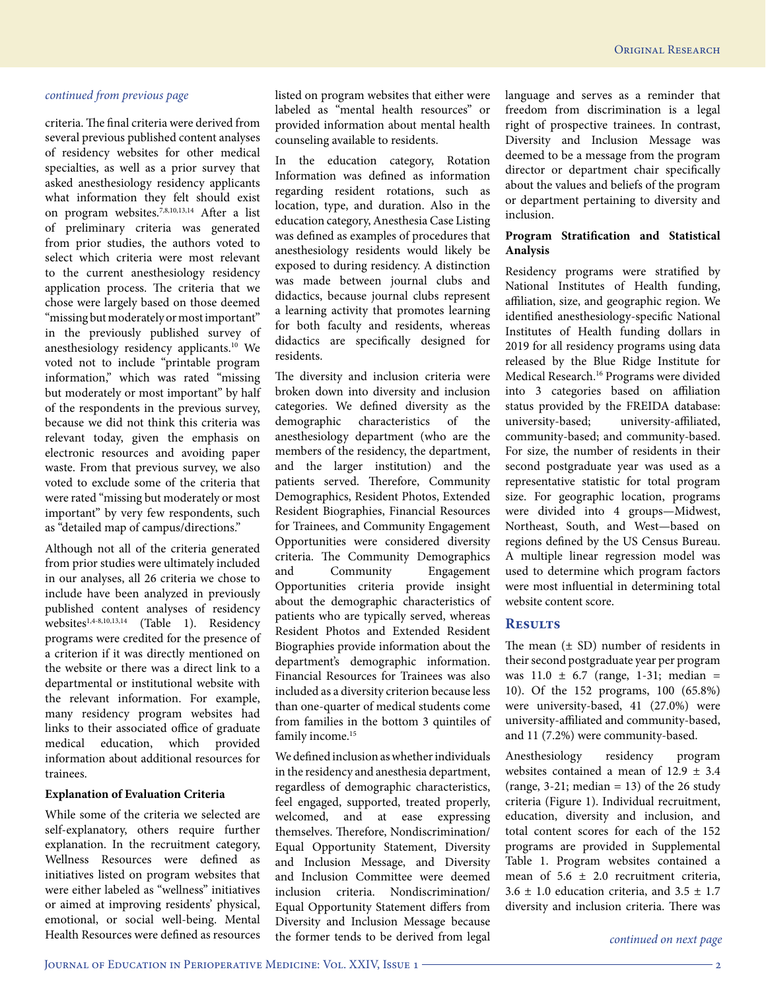criteria. The final criteria were derived from several previous published content analyses of residency websites for other medical specialties, as well as a prior survey that asked anesthesiology residency applicants what information they felt should exist on program websites.7,8,10,13,14 After a list of preliminary criteria was generated from prior studies, the authors voted to select which criteria were most relevant to the current anesthesiology residency application process. The criteria that we chose were largely based on those deemed "missing but moderately or most important" in the previously published survey of anesthesiology residency applicants.10 We voted not to include "printable program information," which was rated "missing but moderately or most important" by half of the respondents in the previous survey, because we did not think this criteria was relevant today, given the emphasis on electronic resources and avoiding paper waste. From that previous survey, we also voted to exclude some of the criteria that were rated "missing but moderately or most important" by very few respondents, such as "detailed map of campus/directions."

Although not all of the criteria generated from prior studies were ultimately included in our analyses, all 26 criteria we chose to include have been analyzed in previously published content analyses of residency websites<sup>1,4-8,10,13,14</sup> (Table 1). Residency programs were credited for the presence of a criterion if it was directly mentioned on the website or there was a direct link to a departmental or institutional website with the relevant information. For example, many residency program websites had links to their associated office of graduate medical education, which provided information about additional resources for trainees.

### **Explanation of Evaluation Criteria**

While some of the criteria we selected are self-explanatory, others require further explanation. In the recruitment category, Wellness Resources were defined as initiatives listed on program websites that were either labeled as "wellness" initiatives or aimed at improving residents' physical, emotional, or social well-being. Mental Health Resources were defined as resources

listed on program websites that either were labeled as "mental health resources" or provided information about mental health counseling available to residents.

In the education category, Rotation Information was defined as information regarding resident rotations, such as location, type, and duration. Also in the education category, Anesthesia Case Listing was defined as examples of procedures that anesthesiology residents would likely be exposed to during residency. A distinction was made between journal clubs and didactics, because journal clubs represent a learning activity that promotes learning for both faculty and residents, whereas didactics are specifically designed for residents.

The diversity and inclusion criteria were broken down into diversity and inclusion categories. We defined diversity as the demographic characteristics of the anesthesiology department (who are the members of the residency, the department, and the larger institution) and the patients served. Therefore, Community Demographics, Resident Photos, Extended Resident Biographies, Financial Resources for Trainees, and Community Engagement Opportunities were considered diversity criteria. The Community Demographics and Community Engagement Opportunities criteria provide insight about the demographic characteristics of patients who are typically served, whereas Resident Photos and Extended Resident Biographies provide information about the department's demographic information. Financial Resources for Trainees was also included as a diversity criterion because less than one-quarter of medical students come from families in the bottom 3 quintiles of family income.<sup>15</sup>

We defined inclusion as whether individuals in the residency and anesthesia department, regardless of demographic characteristics, feel engaged, supported, treated properly, welcomed, and at ease expressing themselves. Therefore, Nondiscrimination/ Equal Opportunity Statement, Diversity and Inclusion Message, and Diversity and Inclusion Committee were deemed inclusion criteria. Nondiscrimination/ Equal Opportunity Statement differs from Diversity and Inclusion Message because the former tends to be derived from legal language and serves as a reminder that freedom from discrimination is a legal right of prospective trainees. In contrast, Diversity and Inclusion Message was deemed to be a message from the program director or department chair specifically about the values and beliefs of the program or department pertaining to diversity and inclusion.

## **Program Stratification and Statistical Analysis**

Residency programs were stratified by National Institutes of Health funding, affiliation, size, and geographic region. We identified anesthesiology-specific National Institutes of Health funding dollars in 2019 for all residency programs using data released by the Blue Ridge Institute for Medical Research.16 Programs were divided into 3 categories based on affiliation status provided by the FREIDA database: university-based; university-affiliated, community-based; and community-based. For size, the number of residents in their second postgraduate year was used as a representative statistic for total program size. For geographic location, programs were divided into 4 groups—Midwest, Northeast, South, and West—based on regions defined by the US Census Bureau. A multiple linear regression model was used to determine which program factors were most influential in determining total website content score.

## **Results**

The mean  $(\pm SD)$  number of residents in their second postgraduate year per program was  $11.0 \pm 6.7$  (range, 1-31; median = 10). Of the 152 programs, 100 (65.8%) were university-based, 41 (27.0%) were university-affiliated and community-based, and 11 (7.2%) were community-based.

Anesthesiology residency program websites contained a mean of 12.9 ± 3.4 (range, 3-21; median  $= 13$ ) of the 26 study criteria (Figure 1). Individual recruitment, education, diversity and inclusion, and total content scores for each of the 152 programs are provided in Supplemental Table 1. Program websites contained a mean of  $5.6 \pm 2.0$  recruitment criteria,  $3.6 \pm 1.0$  education criteria, and  $3.5 \pm 1.7$ diversity and inclusion criteria. There was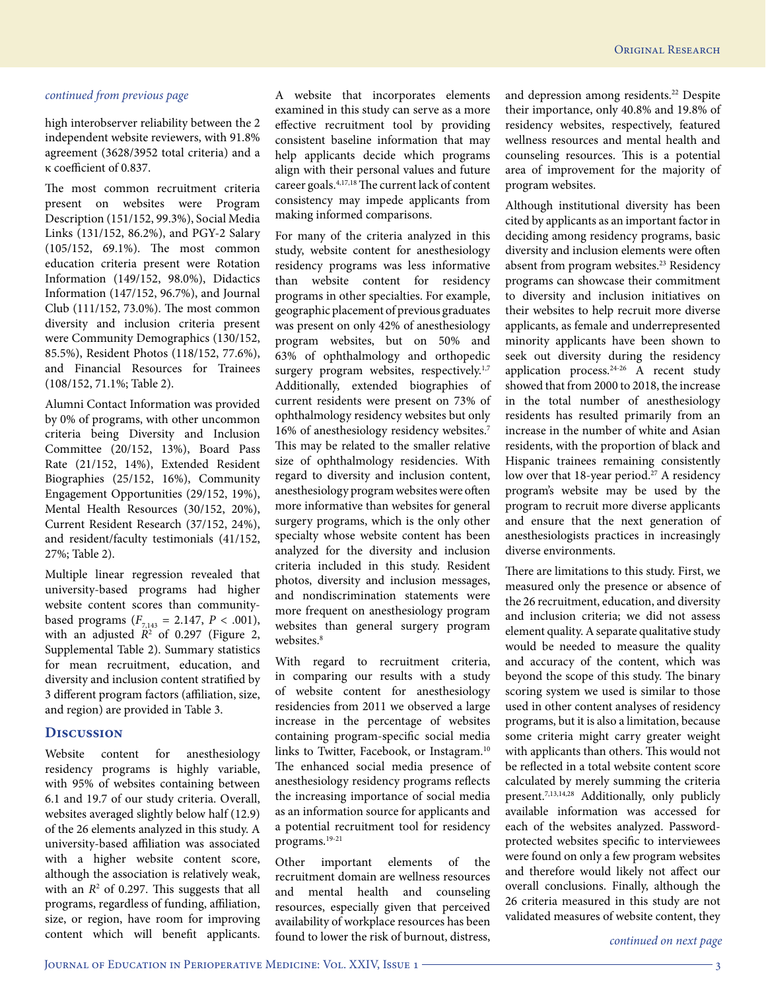high interobserver reliability between the 2 independent website reviewers, with 91.8% agreement (3628/3952 total criteria) and a κ coefficient of 0.837.

The most common recruitment criteria present on websites were Program Description (151/152, 99.3%), Social Media Links (131/152, 86.2%), and PGY-2 Salary (105/152, 69.1%). The most common education criteria present were Rotation Information (149/152, 98.0%), Didactics Information (147/152, 96.7%), and Journal Club (111/152, 73.0%). The most common diversity and inclusion criteria present were Community Demographics (130/152, 85.5%), Resident Photos (118/152, 77.6%), and Financial Resources for Trainees (108/152, 71.1%; Table 2).

Alumni Contact Information was provided by 0% of programs, with other uncommon criteria being Diversity and Inclusion Committee (20/152, 13%), Board Pass Rate (21/152, 14%), Extended Resident Biographies (25/152, 16%), Community Engagement Opportunities (29/152, 19%), Mental Health Resources (30/152, 20%), Current Resident Research (37/152, 24%), and resident/faculty testimonials (41/152, 27%; Table 2).

Multiple linear regression revealed that university-based programs had higher website content scores than communitybased programs  $(F_{7,143} = 2.147, P < .001)$ , with an adjusted  $R^2$  of 0.297 (Figure 2, Supplemental Table 2). Summary statistics for mean recruitment, education, and diversity and inclusion content stratified by 3 different program factors (affiliation, size, and region) are provided in Table 3.

## **Discussion**

Website content for anesthesiology residency programs is highly variable, with 95% of websites containing between 6.1 and 19.7 of our study criteria. Overall, websites averaged slightly below half (12.9) of the 26 elements analyzed in this study. A university-based affiliation was associated with a higher website content score, although the association is relatively weak, with an  $R^2$  of 0.297. This suggests that all programs, regardless of funding, affiliation, size, or region, have room for improving content which will benefit applicants.

A website that incorporates elements examined in this study can serve as a more effective recruitment tool by providing consistent baseline information that may help applicants decide which programs align with their personal values and future career goals.4,17,18 The current lack of content consistency may impede applicants from making informed comparisons.

For many of the criteria analyzed in this study, website content for anesthesiology residency programs was less informative than website content for residency programs in other specialties. For example, geographic placement of previous graduates was present on only 42% of anesthesiology program websites, but on 50% and 63% of ophthalmology and orthopedic surgery program websites, respectively.<sup>1,7</sup> Additionally, extended biographies of current residents were present on 73% of ophthalmology residency websites but only 16% of anesthesiology residency websites.7 This may be related to the smaller relative size of ophthalmology residencies. With regard to diversity and inclusion content, anesthesiology program websites were often more informative than websites for general surgery programs, which is the only other specialty whose website content has been analyzed for the diversity and inclusion criteria included in this study. Resident photos, diversity and inclusion messages, and nondiscrimination statements were more frequent on anesthesiology program websites than general surgery program websites.<sup>8</sup>

With regard to recruitment criteria, in comparing our results with a study of website content for anesthesiology residencies from 2011 we observed a large increase in the percentage of websites containing program-specific social media links to Twitter, Facebook, or Instagram.<sup>10</sup> The enhanced social media presence of anesthesiology residency programs reflects the increasing importance of social media as an information source for applicants and a potential recruitment tool for residency programs.19-21

Other important elements of the recruitment domain are wellness resources and mental health and counseling resources, especially given that perceived availability of workplace resources has been found to lower the risk of burnout, distress, and depression among residents.<sup>22</sup> Despite their importance, only 40.8% and 19.8% of residency websites, respectively, featured wellness resources and mental health and counseling resources. This is a potential area of improvement for the majority of program websites.

Although institutional diversity has been cited by applicants as an important factor in deciding among residency programs, basic diversity and inclusion elements were often absent from program websites.<sup>23</sup> Residency programs can showcase their commitment to diversity and inclusion initiatives on their websites to help recruit more diverse applicants, as female and underrepresented minority applicants have been shown to seek out diversity during the residency application process.24-26 A recent study showed that from 2000 to 2018, the increase in the total number of anesthesiology residents has resulted primarily from an increase in the number of white and Asian residents, with the proportion of black and Hispanic trainees remaining consistently low over that 18-year period.<sup>27</sup> A residency program's website may be used by the program to recruit more diverse applicants and ensure that the next generation of anesthesiologists practices in increasingly diverse environments.

There are limitations to this study. First, we measured only the presence or absence of the 26 recruitment, education, and diversity and inclusion criteria; we did not assess element quality. A separate qualitative study would be needed to measure the quality and accuracy of the content, which was beyond the scope of this study. The binary scoring system we used is similar to those used in other content analyses of residency programs, but it is also a limitation, because some criteria might carry greater weight with applicants than others. This would not be reflected in a total website content score calculated by merely summing the criteria present.7,13,14,28 Additionally, only publicly available information was accessed for each of the websites analyzed. Passwordprotected websites specific to interviewees were found on only a few program websites and therefore would likely not affect our overall conclusions. Finally, although the 26 criteria measured in this study are not validated measures of website content, they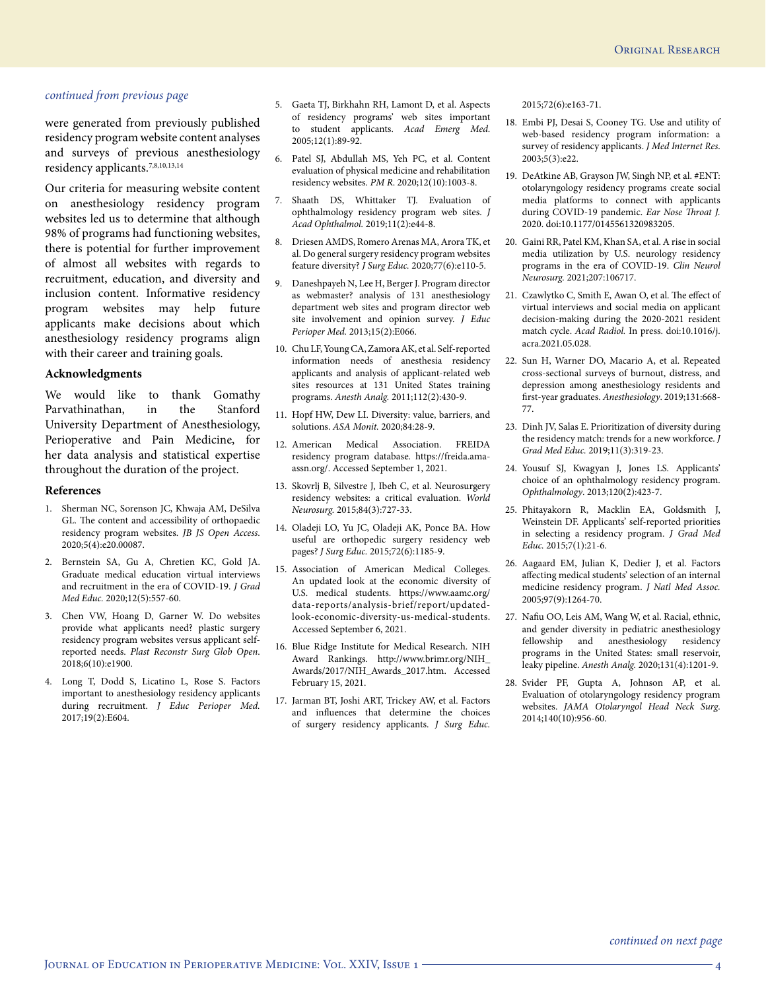were generated from previously published residency program website content analyses and surveys of previous anesthesiology residency applicants.7,8,10,13,14

Our criteria for measuring website content on anesthesiology residency program websites led us to determine that although 98% of programs had functioning websites, there is potential for further improvement of almost all websites with regards to recruitment, education, and diversity and inclusion content. Informative residency program websites may help future applicants make decisions about which anesthesiology residency programs align with their career and training goals.

### **Acknowledgments**

We would like to thank Gomathy Parvathinathan, in the Stanford University Department of Anesthesiology, Perioperative and Pain Medicine, for her data analysis and statistical expertise throughout the duration of the project.

#### **References**

- 1. Sherman NC, Sorenson JC, Khwaja AM, DeSilva GL. The content and accessibility of orthopaedic residency program websites. *JB JS Open Access*. 2020;5(4):e20.00087.
- 2. Bernstein SA, Gu A, Chretien KC, Gold JA. Graduate medical education virtual interviews and recruitment in the era of COVID-19. *J Grad Med Educ.* 2020;12(5):557-60.
- 3. Chen VW, Hoang D, Garner W. Do websites provide what applicants need? plastic surgery residency program websites versus applicant selfreported needs. *Plast Reconstr Surg Glob Open*. 2018;6(10):e1900.
- 4. Long T, Dodd S, Licatino L, Rose S. Factors important to anesthesiology residency applicants during recruitment. *J Educ Perioper Med.* 2017;19(2):E604.
- 5. Gaeta TJ, Birkhahn RH, Lamont D, et al. Aspects of residency programs' web sites important to student applicants. *Acad Emerg Med*. 2005;12(1):89-92.
- 6. Patel SJ, Abdullah MS, Yeh PC, et al. Content evaluation of physical medicine and rehabilitation residency websites. *PM R*. 2020;12(10):1003-8.
- 7. Shaath DS, Whittaker TJ. Evaluation of ophthalmology residency program web sites. *J Acad Ophthalmol.* 2019;11(2):e44-8.
- 8. Driesen AMDS, Romero Arenas MA, Arora TK, et al. Do general surgery residency program websites feature diversity? *J Surg Educ.* 2020;77(6):e110-5.
- 9. Daneshpayeh N, Lee H, Berger J. Program director as webmaster? analysis of 131 anesthesiology department web sites and program director web site involvement and opinion survey. *J Educ Perioper Med.* 2013;15(2):E066.
- 10. Chu LF, Young CA, Zamora AK, et al. Self-reported information needs of anesthesia residency applicants and analysis of applicant-related web sites resources at 131 United States training programs. *Anesth Analg.* 2011;112(2):430-9.
- 11. Hopf HW, Dew LI. Diversity: value, barriers, and solutions. *ASA Monit.* 2020;84:28-9.
- 12. American Medical Association. FREIDA residency program database. https://freida.amaassn.org/. Accessed September 1, 2021.
- 13. Skovrlj B, Silvestre J, Ibeh C, et al. Neurosurgery residency websites: a critical evaluation. *World Neurosurg.* 2015;84(3):727-33.
- 14. Oladeji LO, Yu JC, Oladeji AK, Ponce BA. How useful are orthopedic surgery residency web pages? *J Surg Educ.* 2015;72(6):1185-9.
- 15. Association of American Medical Colleges. An updated look at the economic diversity of U.S. medical students. https://www.aamc.org/ data-reports/analysis-brief/report/updatedlook-economic-diversity-us-medical-students. Accessed September 6, 2021.
- 16. Blue Ridge Institute for Medical Research. NIH Award Rankings. http://www.brimr.org/NIH\_ Awards/2017/NIH\_Awards\_2017.htm. Accessed February 15, 2021.
- 17. Jarman BT, Joshi ART, Trickey AW, et al. Factors and influences that determine the choices of surgery residency applicants. *J Surg Educ.*

2015;72(6):e163-71.

- 18. Embi PJ, Desai S, Cooney TG. Use and utility of web-based residency program information: a survey of residency applicants. *J Med Internet Res*. 2003;5(3):e22.
- 19. DeAtkine AB, Grayson JW, Singh NP, et al. #ENT: otolaryngology residency programs create social media platforms to connect with applicants during COVID-19 pandemic. *Ear Nose Throat J.* 2020. doi:10.1177/0145561320983205.
- 20. Gaini RR, Patel KM, Khan SA, et al. A rise in social media utilization by U.S. neurology residency programs in the era of COVID-19. *Clin Neurol Neurosurg.* 2021;207:106717.
- 21. Czawlytko C, Smith E, Awan O, et al. The effect of virtual interviews and social media on applicant decision-making during the 2020-2021 resident match cycle. *Acad Radiol.* In press. doi:10.1016/j. acra.2021.05.028.
- 22. Sun H, Warner DO, Macario A, et al. Repeated cross-sectional surveys of burnout, distress, and depression among anesthesiology residents and first-year graduates. *Anesthesiology*. 2019;131:668- 77.
- 23. Dinh JV, Salas E. Prioritization of diversity during the residency match: trends for a new workforce. *J Grad Med Educ.* 2019;11(3):319-23.
- 24. Yousuf SJ, Kwagyan J, Jones LS. Applicants' choice of an ophthalmology residency program. *Ophthalmology*. 2013;120(2):423-7.
- 25. Phitayakorn R, Macklin EA, Goldsmith J, Weinstein DF. Applicants' self-reported priorities in selecting a residency program. *J Grad Med Educ.* 2015;7(1):21-6.
- 26. Aagaard EM, Julian K, Dedier J, et al. Factors affecting medical students' selection of an internal medicine residency program. *J Natl Med Assoc.* 2005;97(9):1264-70.
- 27. Nafiu OO, Leis AM, Wang W, et al. Racial, ethnic, and gender diversity in pediatric anesthesiology<br>fellowship and anesthesiology residency fellowship and anesthesiology programs in the United States: small reservoir, leaky pipeline. *Anesth Analg.* 2020;131(4):1201-9.
- 28. Svider PF, Gupta A, Johnson AP, et al. Evaluation of otolaryngology residency program websites. *JAMA Otolaryngol Head Neck Surg*. 2014;140(10):956-60.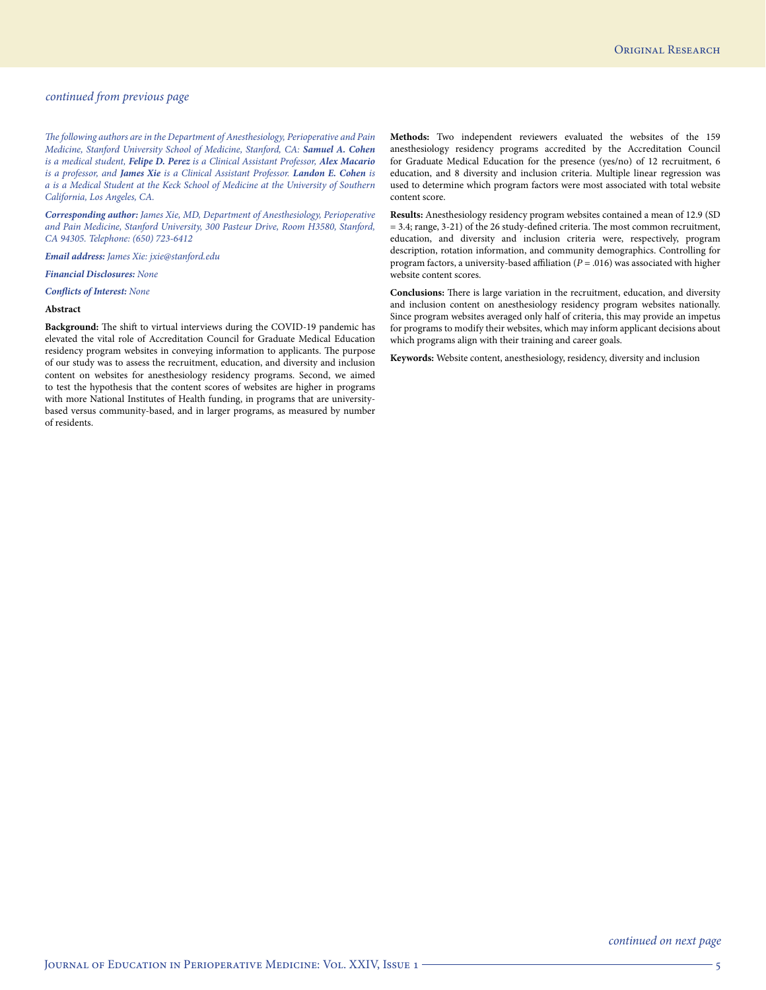*The following authors are in the Department of Anesthesiology, Perioperative and Pain Medicine, Stanford University School of Medicine, Stanford, CA: Samuel A. Cohen is a medical student, Felipe D. Perez is a Clinical Assistant Professor, Alex Macario is a professor, and James Xie is a Clinical Assistant Professor. Landon E. Cohen is a is a Medical Student at the Keck School of Medicine at the University of Southern California, Los Angeles, CA.* 

*Corresponding author: James Xie, MD, Department of Anesthesiology, Perioperative and Pain Medicine, Stanford University, 300 Pasteur Drive, Room H3580, Stanford, CA 94305. Telephone: (650) 723-6412*

*Email address: James Xie: jxie@stanford.edu*

#### *Financial Disclosures: None*

#### *Conflicts of Interest: None*

#### **Abstract**

**Background:** The shift to virtual interviews during the COVID-19 pandemic has elevated the vital role of Accreditation Council for Graduate Medical Education residency program websites in conveying information to applicants. The purpose of our study was to assess the recruitment, education, and diversity and inclusion content on websites for anesthesiology residency programs. Second, we aimed to test the hypothesis that the content scores of websites are higher in programs with more National Institutes of Health funding, in programs that are universitybased versus community-based, and in larger programs, as measured by number of residents.

**Methods:** Two independent reviewers evaluated the websites of the 159 anesthesiology residency programs accredited by the Accreditation Council for Graduate Medical Education for the presence (yes/no) of 12 recruitment, 6 education, and 8 diversity and inclusion criteria. Multiple linear regression was used to determine which program factors were most associated with total website content score.

**Results:** Anesthesiology residency program websites contained a mean of 12.9 (SD = 3.4; range, 3-21) of the 26 study-defined criteria. The most common recruitment, education, and diversity and inclusion criteria were, respectively, program description, rotation information, and community demographics. Controlling for program factors, a university-based affiliation (*P* = .016) was associated with higher website content scores.

**Conclusions:** There is large variation in the recruitment, education, and diversity and inclusion content on anesthesiology residency program websites nationally. Since program websites averaged only half of criteria, this may provide an impetus for programs to modify their websites, which may inform applicant decisions about which programs align with their training and career goals.

**Keywords:** Website content, anesthesiology, residency, diversity and inclusion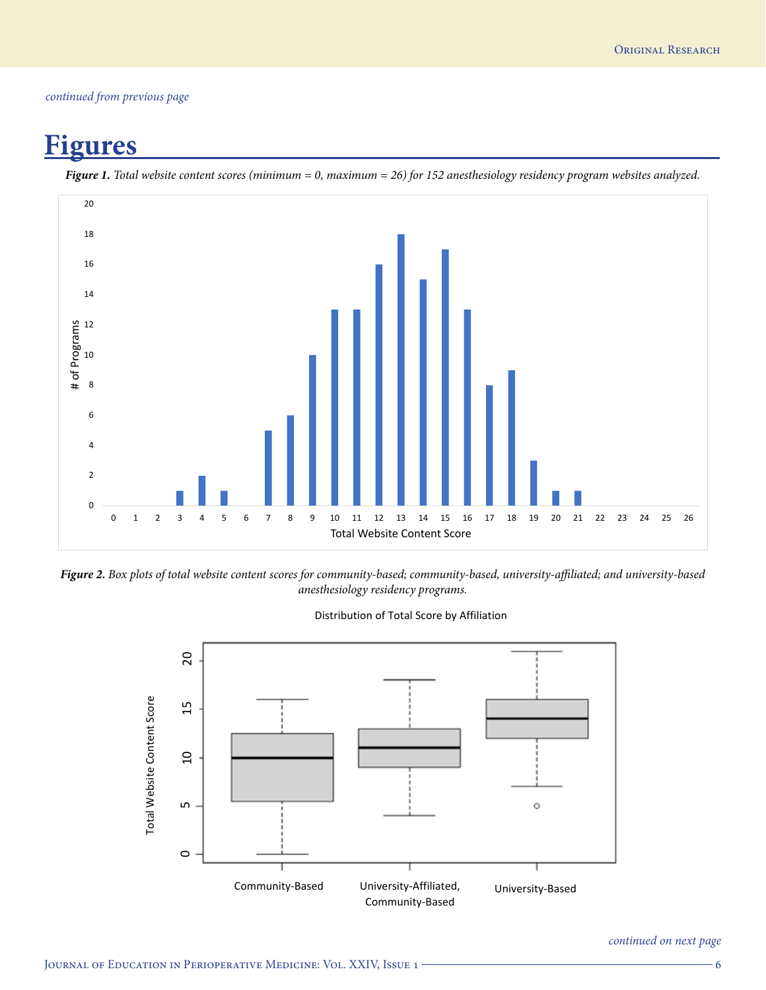## **Figures**



*Figure 1. Total website content scores (minimum = 0, maximum = 26) for 152 anesthesiology residency program websites analyzed.*

*Figure 2. Box plots of total website content scores for community-based; community-based, university-affiliated; and university-based anesthesiology residency programs.*



Distribution of Total Score by Affiliation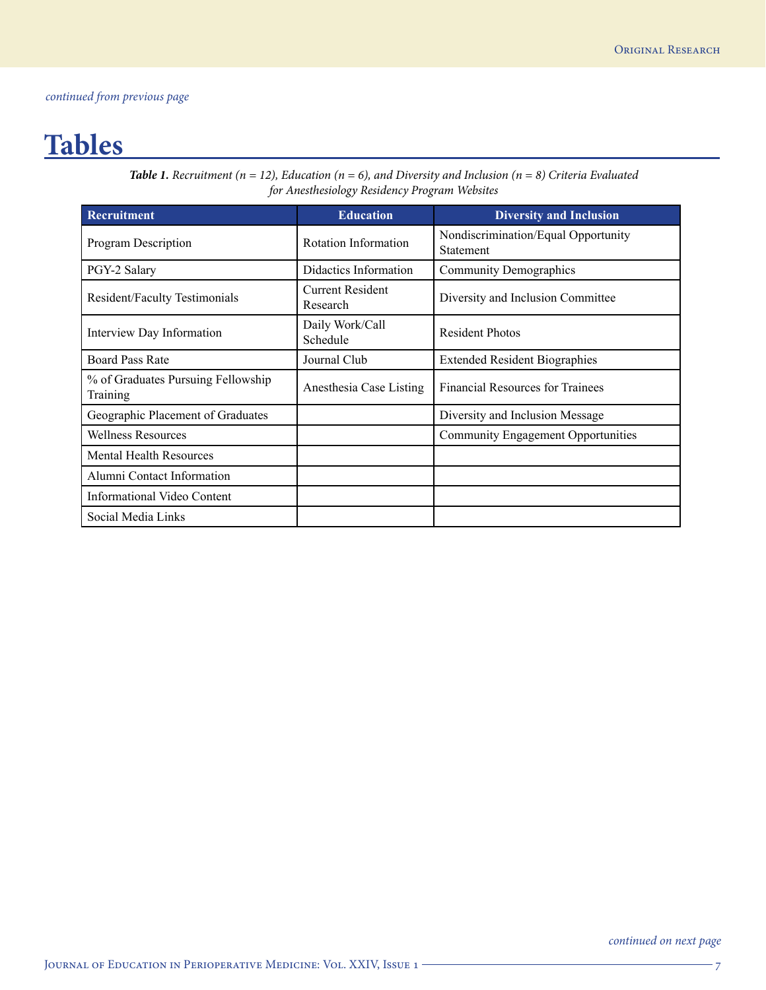## **Tables**

*Table 1. Recruitment (n = 12), Education (n = 6), and Diversity and Inclusion (n = 8) Criteria Evaluated for Anesthesiology Residency Program Websites*

| Recruitment                                    | <b>Education</b>                    | <b>Diversity and Inclusion</b>                   |
|------------------------------------------------|-------------------------------------|--------------------------------------------------|
| Program Description                            | Rotation Information                | Nondiscrimination/Equal Opportunity<br>Statement |
| PGY-2 Salary                                   | Didactics Information               | <b>Community Demographics</b>                    |
| <b>Resident/Faculty Testimonials</b>           | <b>Current Resident</b><br>Research | Diversity and Inclusion Committee                |
| Interview Day Information                      | Daily Work/Call<br>Schedule         | <b>Resident Photos</b>                           |
| <b>Board Pass Rate</b>                         | Journal Club                        | <b>Extended Resident Biographies</b>             |
| % of Graduates Pursuing Fellowship<br>Training | Anesthesia Case Listing             | <b>Financial Resources for Trainees</b>          |
| Geographic Placement of Graduates              |                                     | Diversity and Inclusion Message                  |
| <b>Wellness Resources</b>                      |                                     | <b>Community Engagement Opportunities</b>        |
| <b>Mental Health Resources</b>                 |                                     |                                                  |
| Alumni Contact Information                     |                                     |                                                  |
| Informational Video Content                    |                                     |                                                  |
| Social Media Links                             |                                     |                                                  |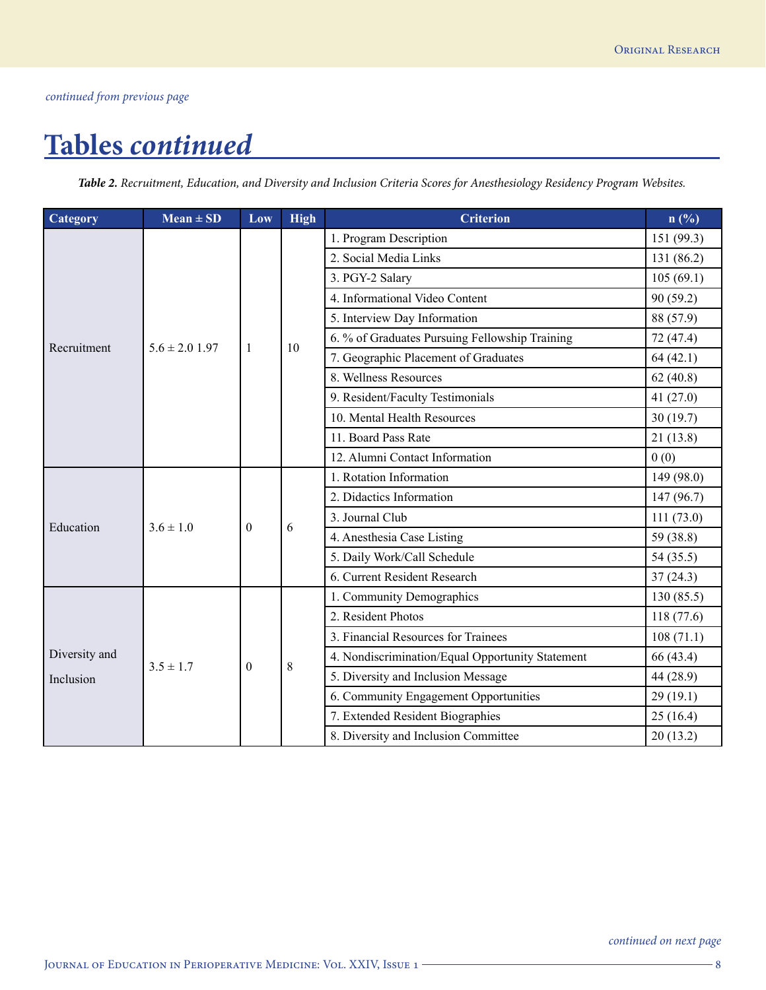## **Tables** *continued*

*Table 2. Recruitment, Education, and Diversity and Inclusion Criteria Scores for Anesthesiology Residency Program Websites.*

| Category      | $Mean \pm SD$             | Low      | <b>High</b> | <b>Criterion</b>                                 | n(%)       |
|---------------|---------------------------|----------|-------------|--------------------------------------------------|------------|
|               |                           |          |             | 1. Program Description                           | 151 (99.3) |
|               |                           |          |             | 2. Social Media Links                            | 131 (86.2) |
|               |                           |          |             | 3. PGY-2 Salary                                  | 105(69.1)  |
|               |                           |          |             | 4. Informational Video Content                   | 90(59.2)   |
|               |                           |          |             | 5. Interview Day Information                     | 88 (57.9)  |
| Recruitment   | $5.6 \pm 2.0$ 1.97        | -1       | 10          | 6. % of Graduates Pursuing Fellowship Training   | 72 (47.4)  |
|               |                           |          |             | 7. Geographic Placement of Graduates             | 64(42.1)   |
|               |                           |          |             | 8. Wellness Resources                            | 62(40.8)   |
|               |                           |          |             | 9. Resident/Faculty Testimonials                 | 41(27.0)   |
|               |                           |          |             | 10. Mental Health Resources                      | 30(19.7)   |
|               |                           |          |             | 11. Board Pass Rate                              | 21(13.8)   |
|               |                           |          |             | 12. Alumni Contact Information                   | 0(0)       |
|               |                           |          |             | 1. Rotation Information                          | 149 (98.0) |
| Education     |                           |          | 6           | 2. Didactics Information                         | 147 (96.7) |
|               | $3.6 \pm 1.0$<br>$\theta$ |          |             | 3. Journal Club                                  | 111(73.0)  |
|               |                           |          |             | 4. Anesthesia Case Listing                       | 59 (38.8)  |
|               |                           |          |             | 5. Daily Work/Call Schedule                      | 54(35.5)   |
|               |                           |          |             | 6. Current Resident Research                     | 37(24.3)   |
|               |                           |          |             | 1. Community Demographics                        | 130(85.5)  |
|               |                           |          |             | 2. Resident Photos                               | 118(77.6)  |
|               |                           |          |             | 3. Financial Resources for Trainees              | 108(71.1)  |
| Diversity and | $3.5 \pm 1.7$             |          |             | 4. Nondiscrimination/Equal Opportunity Statement | 66 (43.4)  |
| Inclusion     |                           | $\theta$ | 8           | 5. Diversity and Inclusion Message               | 44 (28.9)  |
|               |                           |          |             | 6. Community Engagement Opportunities            | 29(19.1)   |
|               |                           |          |             | 7. Extended Resident Biographies                 | 25(16.4)   |
|               |                           |          |             | 8. Diversity and Inclusion Committee             | 20(13.2)   |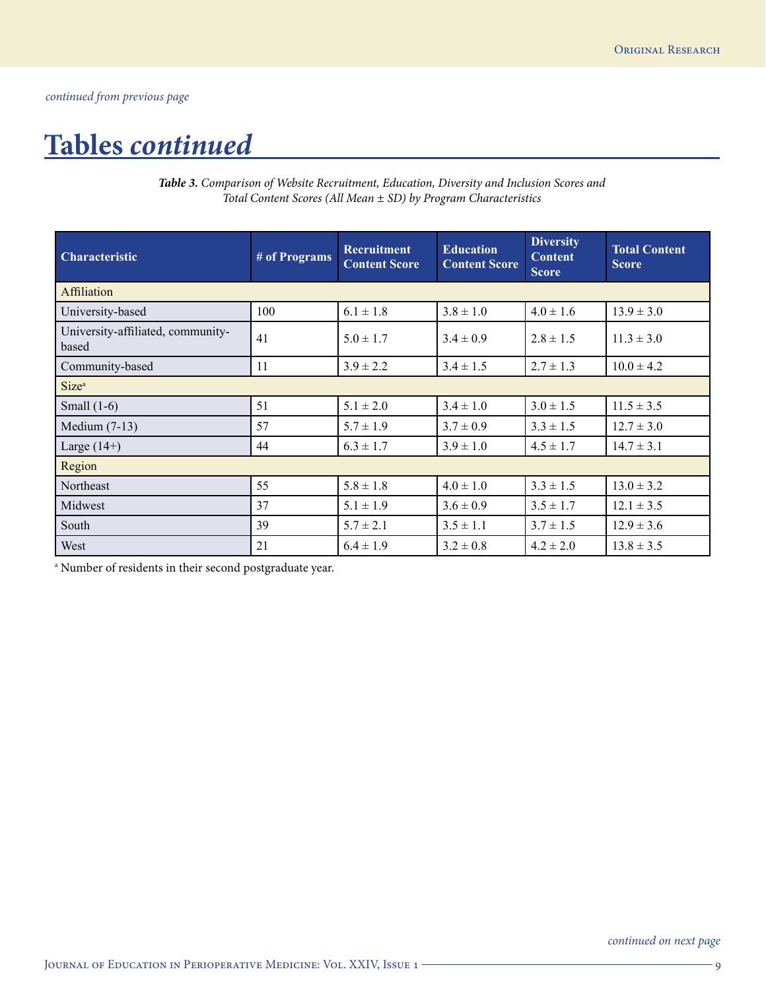## **Tables** *continued*

*Table 3. Comparison of Website Recruitment, Education, Diversity and Inclusion Scores and Total Content Scores (All Mean ± SD) by Program Characteristics*

| <b>Characteristic</b>                      | # of Programs | <b>Recruitment</b><br><b>Content Score</b> | <b>Education</b><br><b>Content Score</b> | <b>Diversity</b><br><b>Content</b><br><b>Score</b> | <b>Total Content</b><br><b>Score</b> |
|--------------------------------------------|---------------|--------------------------------------------|------------------------------------------|----------------------------------------------------|--------------------------------------|
| <b>Affiliation</b>                         |               |                                            |                                          |                                                    |                                      |
| University-based                           | 100           | $6.1 \pm 1.8$                              | $3.8 \pm 1.0$                            | $4.0 \pm 1.6$                                      | $13.9 \pm 3.0$                       |
| University-affiliated, community-<br>based | 41            | $5.0 \pm 1.7$                              | $3.4 \pm 0.9$                            | $2.8 \pm 1.5$                                      | $11.3 \pm 3.0$                       |
| Community-based                            | 11            | $3.9 \pm 2.2$                              | $3.4 \pm 1.5$                            | $2.7 \pm 1.3$                                      | $10.0 \pm 4.2$                       |
| Size <sup>a</sup>                          |               |                                            |                                          |                                                    |                                      |
| Small $(1-6)$                              | 51            | $5.1 \pm 2.0$                              | $3.4 \pm 1.0$                            | $3.0 \pm 1.5$                                      | $11.5 \pm 3.5$                       |
| Medium $(7-13)$                            | 57            | $5.7 \pm 1.9$                              | $3.7 \pm 0.9$                            | $3.3 \pm 1.5$                                      | $12.7 \pm 3.0$                       |
| Large $(14+)$                              | 44            | $6.3 \pm 1.7$                              | $3.9 \pm 1.0$                            | $4.5 \pm 1.7$                                      | $14.7 \pm 3.1$                       |
| Region                                     |               |                                            |                                          |                                                    |                                      |
| Northeast                                  | 55            | $5.8 \pm 1.8$                              | $4.0 \pm 1.0$                            | $3.3 \pm 1.5$                                      | $13.0 \pm 3.2$                       |
| Midwest                                    | 37            | $5.1 \pm 1.9$                              | $3.6 \pm 0.9$                            | $3.5 \pm 1.7$                                      | $12.1 \pm 3.5$                       |
| South                                      | 39            | $5.7 \pm 2.1$                              | $3.5 \pm 1.1$                            | $3.7 \pm 1.5$                                      | $12.9 \pm 3.6$                       |
| West                                       | 21            | $6.4 \pm 1.9$                              | $3.2 \pm 0.8$                            | $4.2 \pm 2.0$                                      | $13.8 \pm 3.5$                       |

a Number of residents in their second postgraduate year.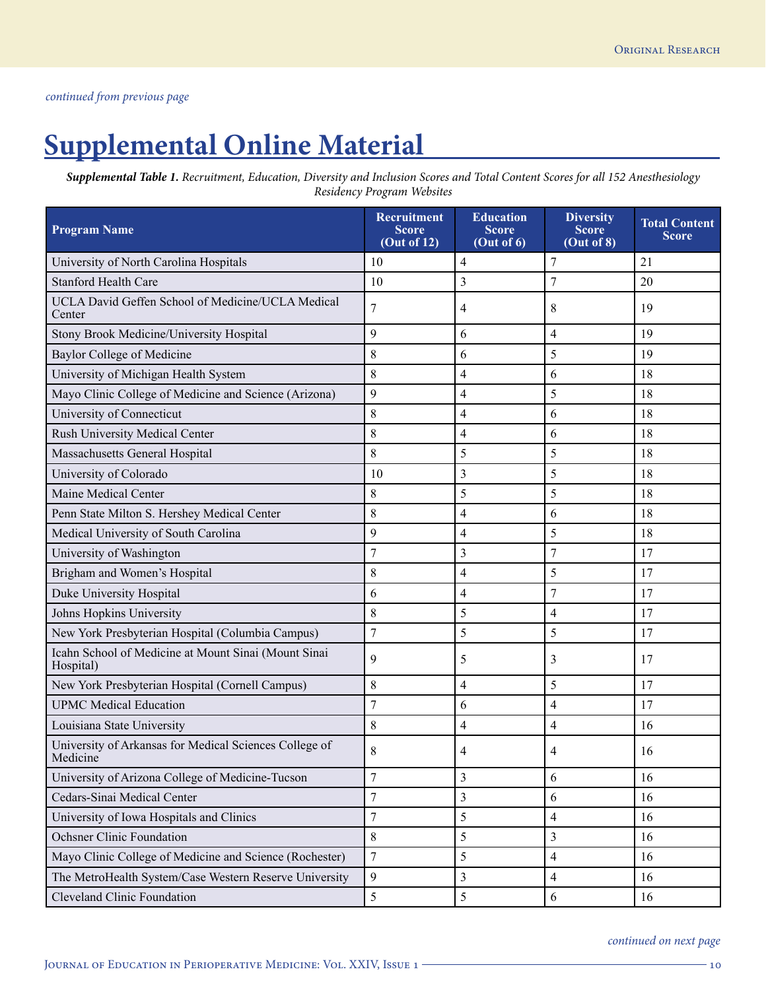# **Supplemental Online Material**

*Supplemental Table 1. Recruitment, Education, Diversity and Inclusion Scores and Total Content Scores for all 152 Anesthesiology Residency Program Websites*

| <b>Program Name</b>                                                | Recruitment<br><b>Score</b><br>(Out of 12) | <b>Education</b><br><b>Score</b><br>(Out of 6) | <b>Diversity</b><br><b>Score</b><br>(Out of 8) | <b>Total Content</b><br><b>Score</b> |
|--------------------------------------------------------------------|--------------------------------------------|------------------------------------------------|------------------------------------------------|--------------------------------------|
| University of North Carolina Hospitals                             | 10                                         | 4                                              | 7                                              | 21                                   |
| <b>Stanford Health Care</b>                                        | 10                                         | $\overline{3}$                                 | 7                                              | 20                                   |
| UCLA David Geffen School of Medicine/UCLA Medical<br>Center        | 7                                          | 4                                              | 8                                              | 19                                   |
| Stony Brook Medicine/University Hospital                           | 9                                          | 6                                              | $\overline{4}$                                 | 19                                   |
| <b>Baylor College of Medicine</b>                                  | 8                                          | 6                                              | 5                                              | 19                                   |
| University of Michigan Health System                               | 8                                          | 4                                              | 6                                              | 18                                   |
| Mayo Clinic College of Medicine and Science (Arizona)              | 9                                          | $\overline{4}$                                 | 5                                              | 18                                   |
| University of Connecticut                                          | 8                                          | 4                                              | 6                                              | 18                                   |
| Rush University Medical Center                                     | 8                                          | 4                                              | 6                                              | 18                                   |
| Massachusetts General Hospital                                     | 8                                          | 5                                              | 5                                              | 18                                   |
| University of Colorado                                             | 10                                         | 3                                              | 5                                              | 18                                   |
| Maine Medical Center                                               | 8                                          | 5                                              | 5                                              | 18                                   |
| Penn State Milton S. Hershey Medical Center                        | 8                                          | 4                                              | 6                                              | 18                                   |
| Medical University of South Carolina                               | 9                                          | 4                                              | 5                                              | 18                                   |
| University of Washington                                           | $\overline{7}$                             | $\overline{\mathbf{3}}$                        | $\overline{7}$                                 | 17                                   |
| Brigham and Women's Hospital                                       | 8                                          | 4                                              | 5                                              | 17                                   |
| Duke University Hospital                                           | 6                                          | 4                                              | 7                                              | 17                                   |
| Johns Hopkins University                                           | 8                                          | 5                                              | 4                                              | 17                                   |
| New York Presbyterian Hospital (Columbia Campus)                   | $\overline{7}$                             | 5                                              | 5                                              | 17                                   |
| Icahn School of Medicine at Mount Sinai (Mount Sinai<br>Hospital)  | 9                                          | 5                                              | 3                                              | 17                                   |
| New York Presbyterian Hospital (Cornell Campus)                    | 8                                          | 4                                              | 5                                              | 17                                   |
| <b>UPMC</b> Medical Education                                      | $\overline{7}$                             | 6                                              | 4                                              | 17                                   |
| Louisiana State University                                         | 8                                          | $\overline{4}$                                 | 4                                              | 16                                   |
| University of Arkansas for Medical Sciences College of<br>Medicine | 8                                          | 4                                              | 4                                              | 16                                   |
| University of Arizona College of Medicine-Tucson                   | 7                                          | 3                                              | 6                                              | 16                                   |
| Cedars-Sinai Medical Center                                        | $\overline{7}$                             | 3                                              | 6                                              | 16                                   |
| University of Iowa Hospitals and Clinics                           | $\boldsymbol{7}$                           | 5                                              | $\overline{\mathcal{L}}$                       | 16                                   |
| <b>Ochsner Clinic Foundation</b>                                   | 8                                          | 5                                              | $\overline{\mathbf{3}}$                        | 16                                   |
| Mayo Clinic College of Medicine and Science (Rochester)            | $\boldsymbol{7}$                           | 5                                              | 4                                              | 16                                   |
| The MetroHealth System/Case Western Reserve University             | 9                                          | 3                                              | $\overline{\mathcal{L}}$                       | 16                                   |
| <b>Cleveland Clinic Foundation</b>                                 | 5                                          | 5                                              | 6                                              | 16                                   |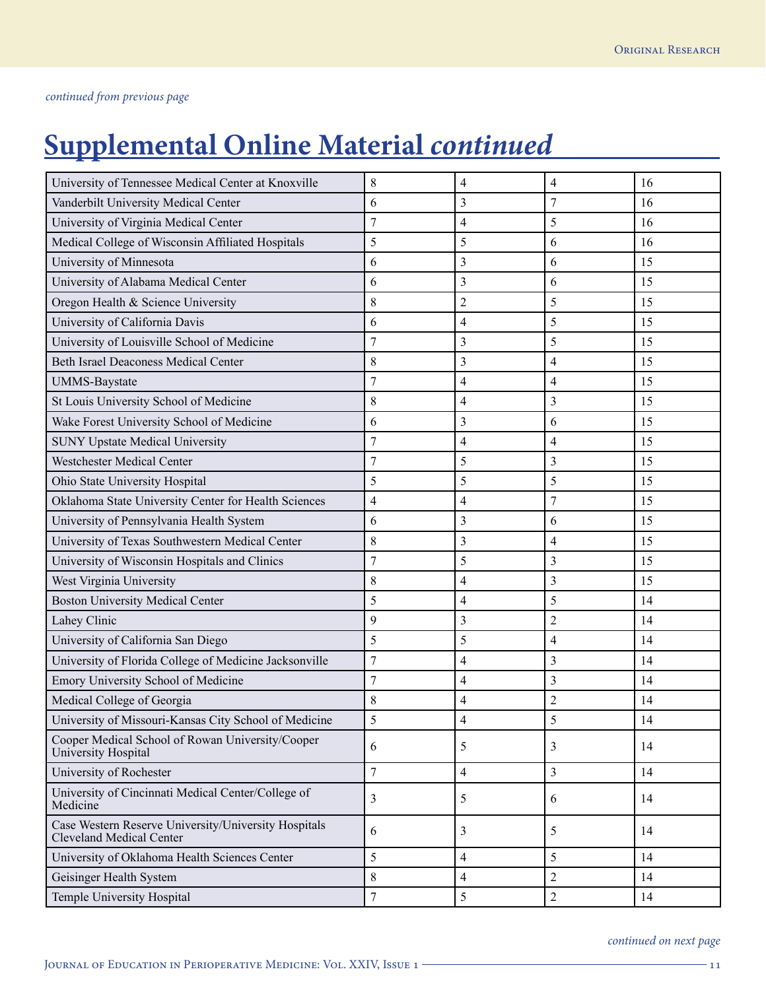# **Supplemental Online Material** *continued*

| University of Tennessee Medical Center at Knoxville                                     | 8                       | 4                        | 4              | 16 |
|-----------------------------------------------------------------------------------------|-------------------------|--------------------------|----------------|----|
| Vanderbilt University Medical Center                                                    | 6                       | 3                        | 7              | 16 |
| University of Virginia Medical Center                                                   | 7                       | 4                        | 5              | 16 |
| Medical College of Wisconsin Affiliated Hospitals                                       | 5                       | 5                        | 6              | 16 |
| University of Minnesota                                                                 | 6                       | 3                        | 6              | 15 |
| University of Alabama Medical Center                                                    | 6                       | 3                        | 6              | 15 |
| Oregon Health & Science University                                                      | 8                       | $\overline{2}$           | 5              | 15 |
| University of California Davis                                                          | 6                       | $\overline{4}$           | 5              | 15 |
| University of Louisville School of Medicine                                             | 7                       | 3                        | 5              | 15 |
| <b>Beth Israel Deaconess Medical Center</b>                                             | 8                       | 3                        | $\overline{4}$ | 15 |
| <b>UMMS-Baystate</b>                                                                    | $\overline{7}$          | 4                        | $\overline{4}$ | 15 |
| St Louis University School of Medicine                                                  | 8                       | $\overline{4}$           | $\mathfrak{Z}$ | 15 |
| Wake Forest University School of Medicine                                               | 6                       | 3                        | 6              | 15 |
| <b>SUNY Upstate Medical University</b>                                                  | $\overline{7}$          | $\overline{\mathcal{L}}$ | $\overline{4}$ | 15 |
| <b>Westchester Medical Center</b>                                                       | 7                       | 5                        | $\mathfrak{Z}$ | 15 |
| Ohio State University Hospital                                                          | 5                       | 5                        | 5              | 15 |
| Oklahoma State University Center for Health Sciences                                    | $\overline{\mathbf{4}}$ | $\overline{4}$           | $\overline{7}$ | 15 |
| University of Pennsylvania Health System                                                | 6                       | 3                        | 6              | 15 |
| University of Texas Southwestern Medical Center                                         | 8                       | 3                        | 4              | 15 |
| University of Wisconsin Hospitals and Clinics                                           | $\overline{7}$          | 5                        | $\mathfrak{Z}$ | 15 |
| West Virginia University                                                                | 8                       | 4                        | 3              | 15 |
| <b>Boston University Medical Center</b>                                                 | 5                       | 4                        | 5              | 14 |
| Lahey Clinic                                                                            | 9                       | 3                        | $\overline{2}$ | 14 |
| University of California San Diego                                                      | 5                       | 5                        | 4              | 14 |
| University of Florida College of Medicine Jacksonville                                  | $\overline{7}$          | $\overline{4}$           | $\mathfrak{Z}$ | 14 |
| Emory University School of Medicine                                                     | 7                       | 4                        | 3              | 14 |
| Medical College of Georgia                                                              | 8                       | 4                        | $\overline{2}$ | 14 |
| University of Missouri-Kansas City School of Medicine                                   | 5                       | $\overline{4}$           | $\sqrt{5}$     | 14 |
| Cooper Medical School of Rowan University/Cooper<br>University Hospital                 | 6                       | 5                        | 3              | 14 |
| University of Rochester                                                                 | $\overline{7}$          | $\overline{4}$           | $\overline{3}$ | 14 |
| University of Cincinnati Medical Center/College of<br>Medicine                          | 3                       | 5                        | 6              | 14 |
| Case Western Reserve University/University Hospitals<br><b>Cleveland Medical Center</b> | 6                       | 3                        | 5              | 14 |
| University of Oklahoma Health Sciences Center                                           | 5                       | $\overline{4}$           | 5              | 14 |
| Geisinger Health System                                                                 | 8                       | $\overline{4}$           | $\overline{2}$ | 14 |
| Temple University Hospital                                                              | $\overline{7}$          | 5                        | $\sqrt{2}$     | 14 |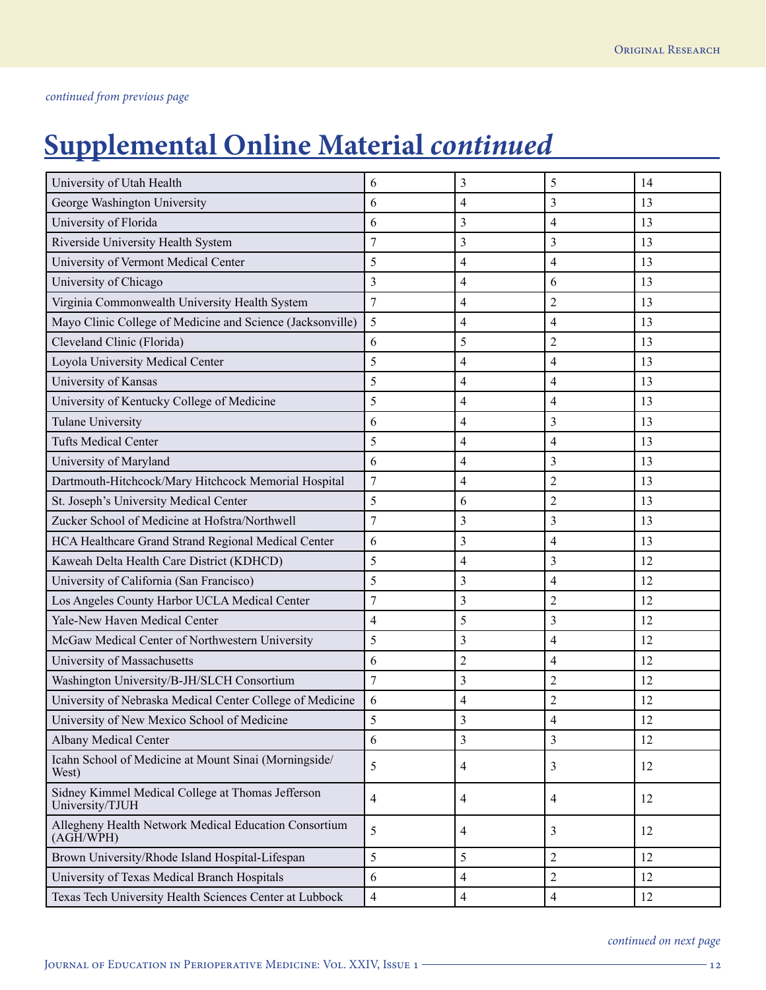# **Supplemental Online Material** *continued*

| University of Utah Health                                            | 6                        | 3                        | 5                        | 14 |
|----------------------------------------------------------------------|--------------------------|--------------------------|--------------------------|----|
| George Washington University                                         | 6                        | 4                        | 3                        | 13 |
| University of Florida                                                | 6                        | 3                        | $\overline{4}$           | 13 |
| Riverside University Health System                                   | $\overline{7}$           | 3                        | 3                        | 13 |
| University of Vermont Medical Center                                 | 5                        | 4                        | $\overline{4}$           | 13 |
| University of Chicago                                                | 3                        | 4                        | 6                        | 13 |
| Virginia Commonwealth University Health System                       | $\overline{7}$           | 4                        | $\overline{2}$           | 13 |
| Mayo Clinic College of Medicine and Science (Jacksonville)           | 5                        | $\overline{\mathcal{L}}$ | $\overline{4}$           | 13 |
| Cleveland Clinic (Florida)                                           | 6                        | 5                        | $\overline{2}$           | 13 |
| Loyola University Medical Center                                     | 5                        | 4                        | 4                        | 13 |
| University of Kansas                                                 | 5                        | $\overline{4}$           | 4                        | 13 |
| University of Kentucky College of Medicine                           | 5                        | 4                        | 4                        | 13 |
| Tulane University                                                    | 6                        | 4                        | 3                        | 13 |
| <b>Tufts Medical Center</b>                                          | 5                        | 4                        | 4                        | 13 |
| University of Maryland                                               | 6                        | 4                        | 3                        | 13 |
| Dartmouth-Hitchcock/Mary Hitchcock Memorial Hospital                 | $\overline{7}$           | 4                        | $\overline{2}$           | 13 |
| St. Joseph's University Medical Center                               | 5                        | 6                        | $\overline{2}$           | 13 |
| Zucker School of Medicine at Hofstra/Northwell                       | $\overline{7}$           | 3                        | 3                        | 13 |
| HCA Healthcare Grand Strand Regional Medical Center                  | 6                        | 3                        | $\overline{4}$           | 13 |
| Kaweah Delta Health Care District (KDHCD)                            | 5                        | $\overline{\mathcal{A}}$ | 3                        | 12 |
| University of California (San Francisco)                             | 5                        | 3                        | $\overline{4}$           | 12 |
| Los Angeles County Harbor UCLA Medical Center                        | $\overline{7}$           | 3                        | $\overline{2}$           | 12 |
| Yale-New Haven Medical Center                                        | $\overline{4}$           | 5                        | 3                        | 12 |
| McGaw Medical Center of Northwestern University                      | 5                        | 3                        | $\overline{4}$           | 12 |
| University of Massachusetts                                          | 6                        | $\overline{c}$           | $\overline{4}$           | 12 |
| Washington University/B-JH/SLCH Consortium                           | $\overline{7}$           | 3                        | $\overline{c}$           | 12 |
| University of Nebraska Medical Center College of Medicine            | 6                        | 4                        | $\overline{2}$           | 12 |
| University of New Mexico School of Medicine                          | 5                        | 3                        | $\overline{\mathcal{A}}$ | 12 |
| Albany Medical Center                                                | 6                        | 3                        | 3                        | 12 |
| Icahn School of Medicine at Mount Sinai (Morningside/<br>West)       | 5                        | 4                        | 3                        | 12 |
| Sidney Kimmel Medical College at Thomas Jefferson<br>University/TJUH | $\overline{\mathcal{L}}$ | 4                        | 4                        | 12 |
| Allegheny Health Network Medical Education Consortium<br>(AGH/WPH)   | 5                        | 4                        | 3                        | 12 |
| Brown University/Rhode Island Hospital-Lifespan                      | 5                        | 5                        | $\overline{2}$           | 12 |
| University of Texas Medical Branch Hospitals                         | 6                        | 4                        | $\sqrt{2}$               | 12 |
| Texas Tech University Health Sciences Center at Lubbock              | $\overline{\mathbf{4}}$  | $\overline{4}$           | $\overline{4}$           | 12 |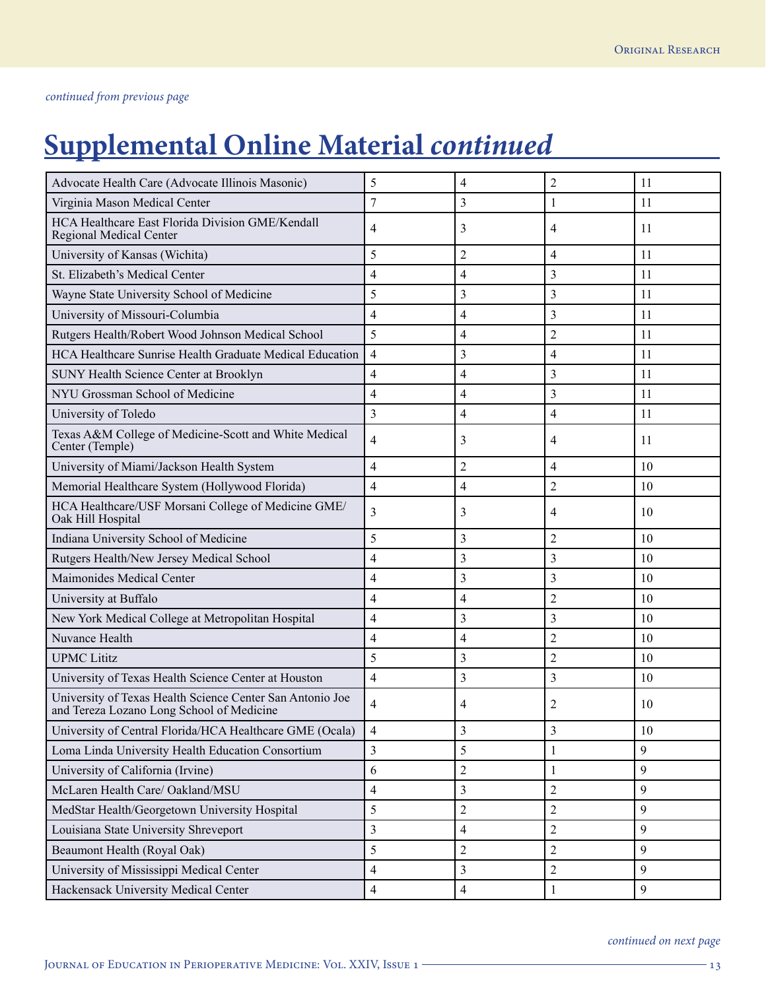# **Supplemental Online Material** *continued*

| Advocate Health Care (Advocate Illinois Masonic)                                                       | 5                        | 4                        | $\overline{2}$ | 11 |
|--------------------------------------------------------------------------------------------------------|--------------------------|--------------------------|----------------|----|
| Virginia Mason Medical Center                                                                          | 7                        | 3                        | 1              | 11 |
| HCA Healthcare East Florida Division GME/Kendall<br>Regional Medical Center                            | 4                        | 3                        | 4              | 11 |
| University of Kansas (Wichita)                                                                         | 5                        | 2                        | $\overline{4}$ | 11 |
| St. Elizabeth's Medical Center                                                                         | $\overline{4}$           | 4                        | 3              | 11 |
| Wayne State University School of Medicine                                                              | 5                        | 3                        | 3              | 11 |
| University of Missouri-Columbia                                                                        | $\overline{4}$           | $\overline{4}$           | 3              | 11 |
| Rutgers Health/Robert Wood Johnson Medical School                                                      | 5                        | 4                        | $\overline{2}$ | 11 |
| HCA Healthcare Sunrise Health Graduate Medical Education                                               | $\overline{4}$           | 3                        | 4              | 11 |
| SUNY Health Science Center at Brooklyn                                                                 | $\overline{4}$           | 4                        | 3              | 11 |
| NYU Grossman School of Medicine                                                                        | $\overline{4}$           | 4                        | 3              | 11 |
| University of Toledo                                                                                   | $\overline{3}$           | 4                        | $\overline{4}$ | 11 |
| Texas A&M College of Medicine-Scott and White Medical<br>Center (Temple)                               | $\overline{4}$           | 3                        | 4              | 11 |
| University of Miami/Jackson Health System                                                              | 4                        | 2                        | 4              | 10 |
| Memorial Healthcare System (Hollywood Florida)                                                         | $\overline{4}$           | $\overline{\mathbf{4}}$  | $\overline{2}$ | 10 |
| HCA Healthcare/USF Morsani College of Medicine GME/<br>Oak Hill Hospital                               | 3                        | 3                        | 4              | 10 |
| Indiana University School of Medicine                                                                  | 5                        | 3                        | $\overline{2}$ | 10 |
| Rutgers Health/New Jersey Medical School                                                               | $\overline{4}$           | 3                        | 3              | 10 |
| Maimonides Medical Center                                                                              | $\overline{4}$           | 3                        | 3              | 10 |
| University at Buffalo                                                                                  | 4                        | 4                        | $\overline{c}$ | 10 |
| New York Medical College at Metropolitan Hospital                                                      | $\overline{4}$           | 3                        | 3              | 10 |
| Nuvance Health                                                                                         | $\overline{4}$           | 4                        | $\overline{2}$ | 10 |
| <b>UPMC</b> Lititz                                                                                     | 5                        | 3                        | $\overline{2}$ | 10 |
| University of Texas Health Science Center at Houston                                                   | $\overline{4}$           | 3                        | 3              | 10 |
| University of Texas Health Science Center San Antonio Joe<br>and Tereza Lozano Long School of Medicine | $\overline{4}$           | 4                        | 2              | 10 |
| University of Central Florida/HCA Healthcare GME (Ocala)                                               | $\overline{4}$           | 3                        | $\mathfrak{Z}$ | 10 |
| Loma Linda University Health Education Consortium                                                      | 3                        | 5                        | 1              | 9  |
| University of California (Irvine)                                                                      | 6                        | $\overline{c}$           | 1              | 9  |
| McLaren Health Care/ Oakland/MSU                                                                       | $\overline{\mathcal{L}}$ | 3                        | $\overline{2}$ | 9  |
| MedStar Health/Georgetown University Hospital                                                          | 5                        | $\overline{c}$           | $\overline{2}$ | 9  |
| Louisiana State University Shreveport                                                                  | $\mathfrak{Z}$           | $\overline{\mathcal{L}}$ | $\sqrt{2}$     | 9  |
| Beaumont Health (Royal Oak)                                                                            | 5                        | $\overline{c}$           | $\overline{2}$ | 9  |
| University of Mississippi Medical Center                                                               | $\overline{4}$           | 3                        | $\overline{2}$ | 9  |
| Hackensack University Medical Center                                                                   | $\overline{\mathcal{L}}$ | $\overline{4}$           | 1              | 9  |